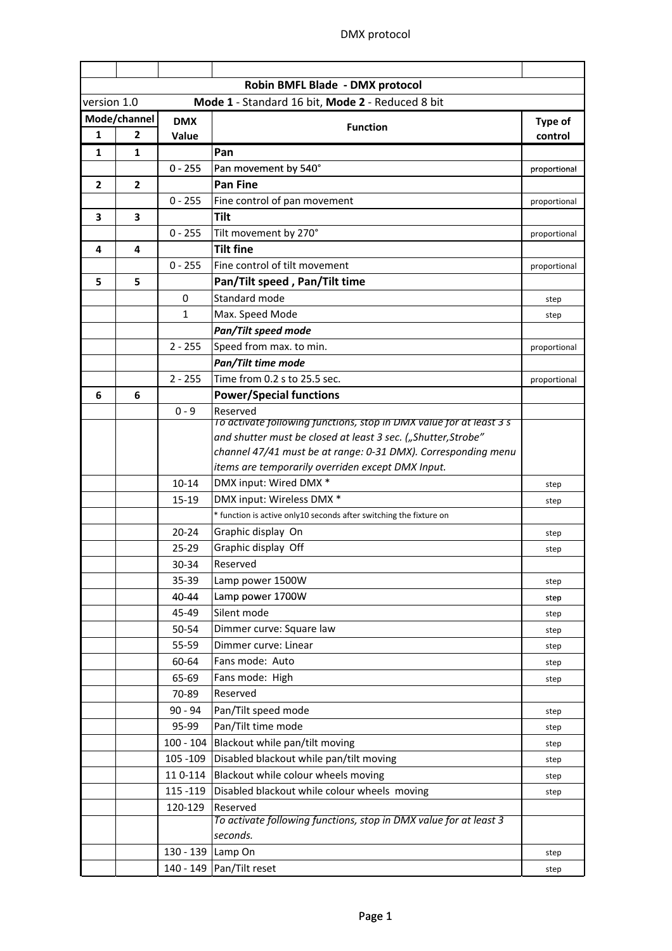|                | Robin BMFL Blade - DMX protocol |                   |                                                                     |              |  |  |  |  |
|----------------|---------------------------------|-------------------|---------------------------------------------------------------------|--------------|--|--|--|--|
| version 1.0    |                                 |                   | Mode 1 - Standard 16 bit, Mode 2 - Reduced 8 bit                    |              |  |  |  |  |
|                | Mode/channel                    | <b>DMX</b>        | <b>Function</b>                                                     | Type of      |  |  |  |  |
| 1              | $\overline{2}$                  | Value             |                                                                     | control      |  |  |  |  |
| 1              | 1                               |                   | Pan                                                                 |              |  |  |  |  |
|                |                                 | $0 - 255$         | Pan movement by 540°                                                | proportional |  |  |  |  |
| $\overline{2}$ | $\overline{2}$                  |                   | <b>Pan Fine</b>                                                     |              |  |  |  |  |
|                |                                 | $0 - 255$         | Fine control of pan movement                                        | proportional |  |  |  |  |
| 3              | 3                               |                   | <b>Tilt</b>                                                         |              |  |  |  |  |
|                |                                 | $0 - 255$         | Tilt movement by 270°                                               | proportional |  |  |  |  |
| 4              | 4                               |                   | <b>Tilt fine</b>                                                    |              |  |  |  |  |
|                |                                 | $0 - 255$         | Fine control of tilt movement                                       | proportional |  |  |  |  |
| 5              | 5                               |                   | Pan/Tilt speed, Pan/Tilt time                                       |              |  |  |  |  |
|                |                                 | $\mathbf 0$       | Standard mode                                                       | step         |  |  |  |  |
|                |                                 | 1                 | Max. Speed Mode                                                     | step         |  |  |  |  |
|                |                                 |                   | Pan/Tilt speed mode                                                 |              |  |  |  |  |
|                |                                 | $2 - 255$         | Speed from max. to min.                                             | proportional |  |  |  |  |
|                |                                 |                   | Pan/Tilt time mode                                                  |              |  |  |  |  |
|                |                                 | $2 - 255$         | Time from 0.2 s to 25.5 sec.                                        | proportional |  |  |  |  |
| 6              | 6                               |                   | <b>Power/Special functions</b>                                      |              |  |  |  |  |
|                |                                 | $0 - 9$           | Reserved                                                            |              |  |  |  |  |
|                |                                 |                   | To activate following functions, stop in DMX value for at least 3 s |              |  |  |  |  |
|                |                                 |                   | and shutter must be closed at least 3 sec. ("Shutter, Strobe"       |              |  |  |  |  |
|                |                                 |                   | channel 47/41 must be at range: 0-31 DMX). Corresponding menu       |              |  |  |  |  |
|                |                                 |                   | items are temporarily overriden except DMX Input.                   |              |  |  |  |  |
|                |                                 | 10-14             | DMX input: Wired DMX *                                              | step         |  |  |  |  |
|                |                                 | $15-19$           | DMX input: Wireless DMX *                                           | step         |  |  |  |  |
|                |                                 |                   | * function is active only10 seconds after switching the fixture on  |              |  |  |  |  |
|                |                                 | $20 - 24$         | Graphic display On                                                  | step         |  |  |  |  |
|                |                                 | 25-29             | Graphic display Off                                                 | step         |  |  |  |  |
|                |                                 | 30-34             | Reserved                                                            |              |  |  |  |  |
|                |                                 | 35-39             | Lamp power 1500W                                                    | step         |  |  |  |  |
|                |                                 | 40-44             | Lamp power 1700W                                                    | step         |  |  |  |  |
|                |                                 | 45-49             | Silent mode                                                         | step         |  |  |  |  |
|                |                                 | 50-54             | Dimmer curve: Square law                                            | step         |  |  |  |  |
|                |                                 | 55-59             | Dimmer curve: Linear                                                | step         |  |  |  |  |
|                |                                 | 60-64             | Fans mode: Auto                                                     | step         |  |  |  |  |
|                |                                 | 65-69             | Fans mode: High                                                     | step         |  |  |  |  |
|                |                                 | 70-89             | Reserved                                                            |              |  |  |  |  |
|                |                                 | $90 - 94$         | Pan/Tilt speed mode                                                 | step         |  |  |  |  |
|                |                                 | 95-99             | Pan/Tilt time mode                                                  | step         |  |  |  |  |
|                |                                 |                   | 100 - 104 Blackout while pan/tilt moving                            | step         |  |  |  |  |
|                |                                 |                   | 105 -109 Disabled blackout while pan/tilt moving                    | step         |  |  |  |  |
|                |                                 |                   | 110-114 Blackout while colour wheels moving                         | step         |  |  |  |  |
|                |                                 | 115 - 119         | Disabled blackout while colour wheels moving                        | step         |  |  |  |  |
|                |                                 | 120-129           | Reserved                                                            |              |  |  |  |  |
|                |                                 |                   | To activate following functions, stop in DMX value for at least 3   |              |  |  |  |  |
|                |                                 |                   | seconds.                                                            |              |  |  |  |  |
|                |                                 | 130 - 139 Lamp On |                                                                     | step         |  |  |  |  |
|                |                                 |                   | 140 - 149 Pan/Tilt reset                                            | step         |  |  |  |  |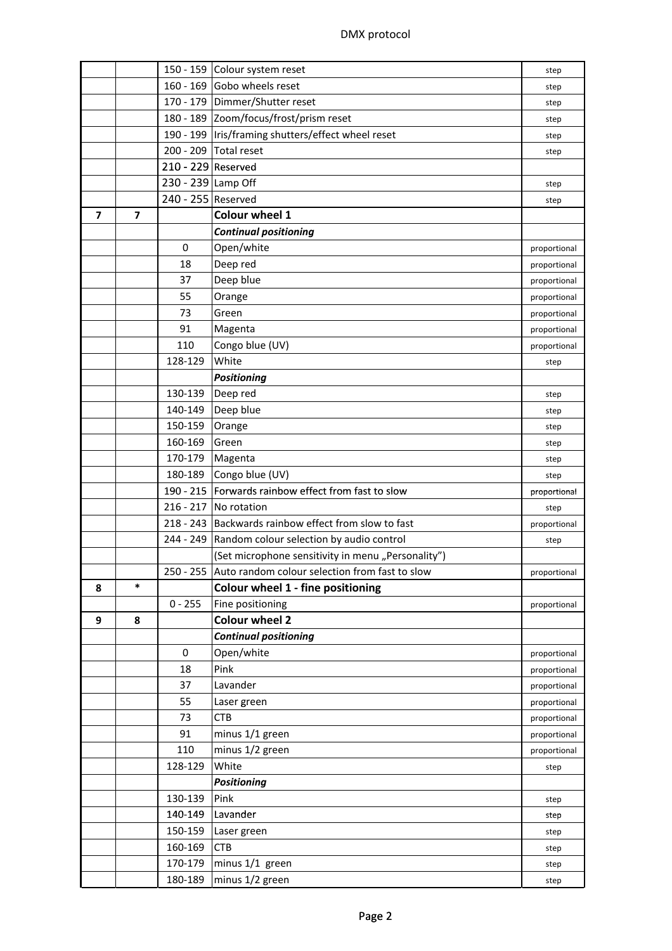|   |        |                    | 150 - 159 Colour system reset                            |              |  |  |  |
|---|--------|--------------------|----------------------------------------------------------|--------------|--|--|--|
|   |        |                    | 160 - 169 Gobo wheels reset                              | step         |  |  |  |
|   |        |                    | 170 - 179 Dimmer/Shutter reset                           | step         |  |  |  |
|   |        |                    | 180 - 189 Zoom/focus/frost/prism reset                   | step         |  |  |  |
|   |        |                    | 190 - 199   Iris/framing shutters/effect wheel reset     | step         |  |  |  |
|   |        |                    | 200 - 209 Total reset                                    | step         |  |  |  |
|   |        | 210 - 229 Reserved |                                                          |              |  |  |  |
|   |        | 230 - 239 Lamp Off |                                                          | step         |  |  |  |
|   |        | 240 - 255 Reserved |                                                          | step         |  |  |  |
| 7 | 7      |                    | <b>Colour wheel 1</b>                                    |              |  |  |  |
|   |        |                    | <b>Continual positioning</b>                             |              |  |  |  |
|   |        | 0                  | Open/white                                               | proportional |  |  |  |
|   |        | 18                 | Deep red                                                 | proportional |  |  |  |
|   |        | 37                 | Deep blue                                                | proportional |  |  |  |
|   |        | 55                 | Orange                                                   | proportional |  |  |  |
|   |        | 73                 | Green                                                    | proportional |  |  |  |
|   |        | 91                 | Magenta                                                  | proportional |  |  |  |
|   |        | 110                | Congo blue (UV)                                          | proportional |  |  |  |
|   |        | 128-129            | White                                                    | step         |  |  |  |
|   |        |                    | <b>Positioning</b>                                       |              |  |  |  |
|   |        | 130-139            | Deep red                                                 | step         |  |  |  |
|   |        | 140-149            | Deep blue                                                | step         |  |  |  |
|   |        | 150-159            | Orange                                                   | step         |  |  |  |
|   |        | 160-169            | Green                                                    | step         |  |  |  |
|   |        | 170-179            | Magenta                                                  | step         |  |  |  |
|   |        | 180-189            | Congo blue (UV)                                          | step         |  |  |  |
|   |        |                    | 190 - 215   Forwards rainbow effect from fast to slow    | proportional |  |  |  |
|   |        |                    | 216 - 217 No rotation                                    | step         |  |  |  |
|   |        |                    | 218 - 243 Backwards rainbow effect from slow to fast     | proportional |  |  |  |
|   |        |                    | 244 - 249 Random colour selection by audio control       | step         |  |  |  |
|   |        |                    | (Set microphone sensitivity in menu "Personality")       |              |  |  |  |
|   |        |                    | 250 - 255 Auto random colour selection from fast to slow | proportional |  |  |  |
| 8 | $\ast$ |                    | Colour wheel 1 - fine positioning                        |              |  |  |  |
|   |        | $0 - 255$          | Fine positioning                                         | proportional |  |  |  |
| 9 | 8      |                    | <b>Colour wheel 2</b>                                    |              |  |  |  |
|   |        |                    | <b>Continual positioning</b>                             |              |  |  |  |
|   |        | 0                  | Open/white                                               | proportional |  |  |  |
|   |        | 18                 | Pink                                                     | proportional |  |  |  |
|   |        | 37                 | Lavander                                                 | proportional |  |  |  |
|   |        | 55                 | Laser green                                              | proportional |  |  |  |
|   |        | 73                 | <b>CTB</b>                                               | proportional |  |  |  |
|   |        | 91                 | minus 1/1 green                                          | proportional |  |  |  |
|   |        | 110                | minus 1/2 green                                          | proportional |  |  |  |
|   |        | 128-129            | White                                                    | step         |  |  |  |
|   |        |                    | <b>Positioning</b>                                       |              |  |  |  |
|   |        | 130-139            | Pink                                                     | step         |  |  |  |
|   |        | 140-149            | Lavander                                                 | step         |  |  |  |
|   |        | 150-159            | Laser green                                              | step         |  |  |  |
|   |        |                    |                                                          |              |  |  |  |
|   |        |                    |                                                          |              |  |  |  |
|   |        | 160-169            | <b>CTB</b>                                               | step         |  |  |  |
|   |        | 170-179<br>180-189 | minus 1/1 green<br>minus 1/2 green                       | step<br>step |  |  |  |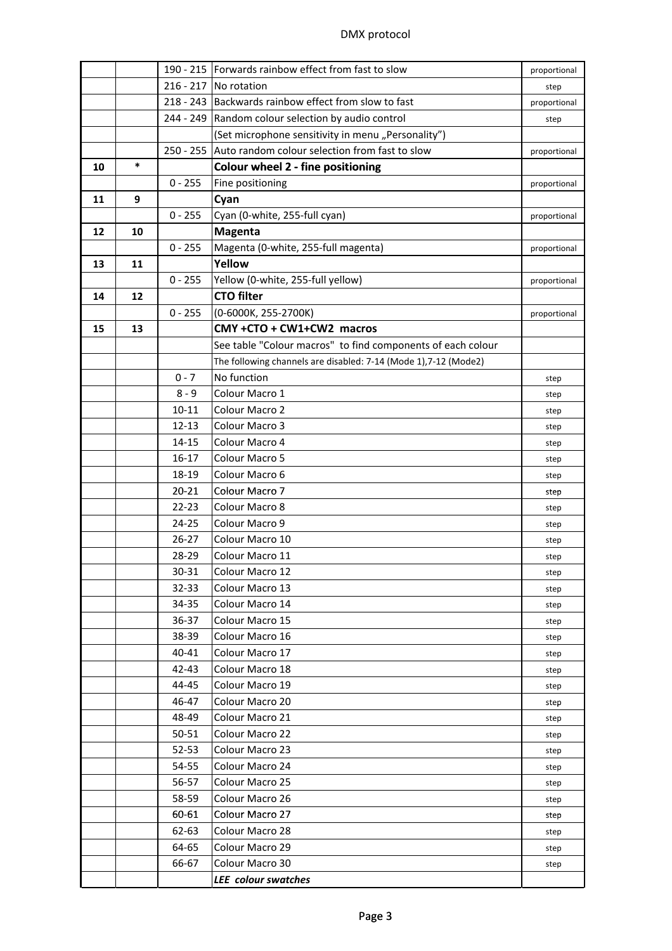|    |        |           | 190 - 215   Forwards rainbow effect from fast to slow            | proportional |
|----|--------|-----------|------------------------------------------------------------------|--------------|
|    |        |           | 216 - 217 No rotation                                            | step         |
|    |        |           | 218 - 243 Backwards rainbow effect from slow to fast             | proportional |
|    |        |           | 244 - 249 Random colour selection by audio control               | step         |
|    |        |           | (Set microphone sensitivity in menu "Personality")               |              |
|    |        |           | 250 - 255 Auto random colour selection from fast to slow         | proportional |
| 10 | $\ast$ |           | <b>Colour wheel 2 - fine positioning</b>                         |              |
|    |        | $0 - 255$ | Fine positioning                                                 | proportional |
| 11 | 9      |           | Cyan                                                             |              |
|    |        | $0 - 255$ | Cyan (0-white, 255-full cyan)                                    | proportional |
| 12 | 10     |           | <b>Magenta</b>                                                   |              |
|    |        | $0 - 255$ | Magenta (0-white, 255-full magenta)                              | proportional |
| 13 | 11     |           | Yellow                                                           |              |
|    |        | $0 - 255$ | Yellow (0-white, 255-full yellow)                                | proportional |
| 14 | 12     |           | <b>CTO filter</b>                                                |              |
|    |        | $0 - 255$ | (0-6000K, 255-2700K)                                             | proportional |
| 15 | 13     |           | CMY +CTO + CW1+CW2 macros                                        |              |
|    |        |           | See table "Colour macros" to find components of each colour      |              |
|    |        |           | The following channels are disabled: 7-14 (Mode 1), 7-12 (Mode2) |              |
|    |        | $0 - 7$   | No function                                                      | step         |
|    |        | $8 - 9$   | Colour Macro 1                                                   | step         |
|    |        | 10-11     | Colour Macro 2                                                   | step         |
|    |        | $12 - 13$ | Colour Macro 3                                                   | step         |
|    |        | 14-15     | Colour Macro 4                                                   | step         |
|    |        | $16-17$   | Colour Macro 5                                                   | step         |
|    |        | 18-19     | Colour Macro 6                                                   | step         |
|    |        | $20 - 21$ | Colour Macro 7                                                   | step         |
|    |        | $22 - 23$ | Colour Macro 8                                                   | step         |
|    |        | $24 - 25$ | Colour Macro 9                                                   | step         |
|    |        | $26 - 27$ | Colour Macro 10                                                  | step         |
|    |        | 28-29     | Colour Macro 11                                                  | step         |
|    |        | 30-31     | Colour Macro 12                                                  | step         |
|    |        | 32-33     | Colour Macro 13                                                  | step         |
|    |        | 34-35     | Colour Macro 14                                                  | step         |
|    |        | 36-37     | Colour Macro 15                                                  | step         |
|    |        | 38-39     | Colour Macro 16                                                  | step         |
|    |        | 40-41     | Colour Macro 17                                                  | step         |
|    |        | $42 - 43$ | Colour Macro 18                                                  | step         |
|    |        | 44-45     | Colour Macro 19                                                  | step         |
|    |        | 46-47     | Colour Macro 20                                                  | step         |
|    |        | 48-49     | Colour Macro 21                                                  | step         |
|    |        | 50-51     | Colour Macro 22                                                  | step         |
|    |        | $52 - 53$ | Colour Macro 23                                                  | step         |
|    |        | 54-55     | Colour Macro 24                                                  | step         |
|    |        | 56-57     | Colour Macro 25                                                  | step         |
|    |        | 58-59     | Colour Macro 26                                                  | step         |
|    |        | 60-61     | Colour Macro 27                                                  | step         |
|    |        | 62-63     | Colour Macro 28                                                  | step         |
|    |        | 64-65     | Colour Macro 29                                                  | step         |
|    |        | 66-67     | Colour Macro 30                                                  | step         |
|    |        |           | <b>LEE</b> colour swatches                                       |              |
|    |        |           |                                                                  |              |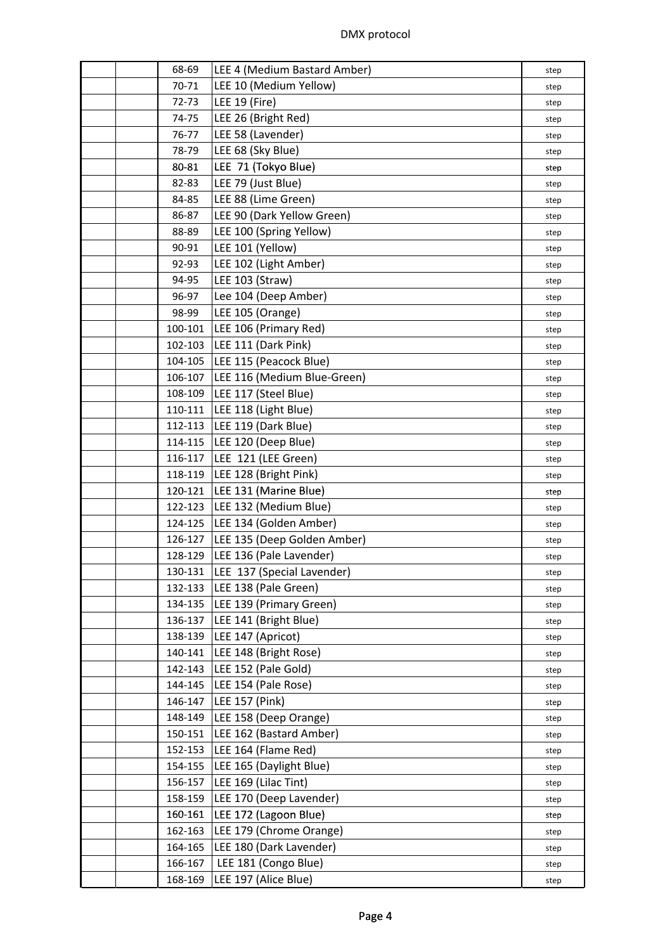|  | 68-69              | LEE 4 (Medium Bastard Amber)                       | step         |
|--|--------------------|----------------------------------------------------|--------------|
|  | 70-71              | LEE 10 (Medium Yellow)                             | step         |
|  | 72-73              | LEE 19 (Fire)                                      | step         |
|  | 74-75              | LEE 26 (Bright Red)                                | step         |
|  | 76-77              | LEE 58 (Lavender)                                  | step         |
|  | 78-79              | LEE 68 (Sky Blue)                                  | step         |
|  | 80-81              | LEE 71 (Tokyo Blue)                                | step         |
|  | 82-83              | LEE 79 (Just Blue)                                 | step         |
|  | 84-85              | LEE 88 (Lime Green)                                | step         |
|  | 86-87              | LEE 90 (Dark Yellow Green)                         | step         |
|  | 88-89              | LEE 100 (Spring Yellow)                            | step         |
|  | 90-91              | LEE 101 (Yellow)                                   | step         |
|  | 92-93              | LEE 102 (Light Amber)                              | step         |
|  | 94-95              | LEE 103 (Straw)                                    | step         |
|  | 96-97              | Lee 104 (Deep Amber)                               | step         |
|  | 98-99              | LEE 105 (Orange)                                   | step         |
|  | 100-101            | LEE 106 (Primary Red)                              | step         |
|  | 102-103            | LEE 111 (Dark Pink)                                | step         |
|  | 104-105            | LEE 115 (Peacock Blue)                             | step         |
|  | 106-107            | LEE 116 (Medium Blue-Green)                        | step         |
|  | 108-109            | LEE 117 (Steel Blue)                               | step         |
|  |                    | 110-111   LEE 118 (Light Blue)                     | step         |
|  |                    | 112-113   LEE 119 (Dark Blue)                      | step         |
|  |                    | 114-115   LEE 120 (Deep Blue)                      | step         |
|  | 116-117            | LEE 121 (LEE Green)                                | step         |
|  | 118-119            | LEE 128 (Bright Pink)                              | step         |
|  | 120-121            | LEE 131 (Marine Blue)                              | step         |
|  | 122-123            | LEE 132 (Medium Blue)                              | step         |
|  |                    | 124-125   LEE 134 (Golden Amber)                   |              |
|  |                    | 126-127   LEE 135 (Deep Golden Amber)              | step<br>step |
|  |                    | 128-129   LEE 136 (Pale Lavender)                  | step         |
|  | 130-131            | LEE 137 (Special Lavender)                         | step         |
|  | 132-133            | LEE 138 (Pale Green)                               |              |
|  | 134-135            | LEE 139 (Primary Green)                            | step         |
|  | 136-137            | LEE 141 (Bright Blue)                              | step         |
|  | 138-139            | LEE 147 (Apricot)                                  | step         |
|  | 140-141            | LEE 148 (Bright Rose)                              | step         |
|  | 142-143            | LEE 152 (Pale Gold)                                | step         |
|  | 144-145            | LEE 154 (Pale Rose)                                | step         |
|  | 146-147            | LEE 157 (Pink)                                     | step         |
|  | 148-149            | LEE 158 (Deep Orange)                              | step         |
|  |                    | LEE 162 (Bastard Amber)                            | step         |
|  | 150-151<br>152-153 | LEE 164 (Flame Red)                                | step         |
|  | 154-155            | LEE 165 (Daylight Blue)                            | step         |
|  |                    | LEE 169 (Lilac Tint)                               | step         |
|  | 156-157            |                                                    | step         |
|  | 158-159            | LEE 170 (Deep Lavender)                            | step         |
|  | 160-161<br>162-163 | LEE 172 (Lagoon Blue)                              | step         |
|  |                    | LEE 179 (Chrome Orange)<br>LEE 180 (Dark Lavender) | step         |
|  | 164-165            |                                                    | step         |
|  | 166-167<br>168-169 | LEE 181 (Congo Blue)                               | step         |
|  |                    | LEE 197 (Alice Blue)                               | step         |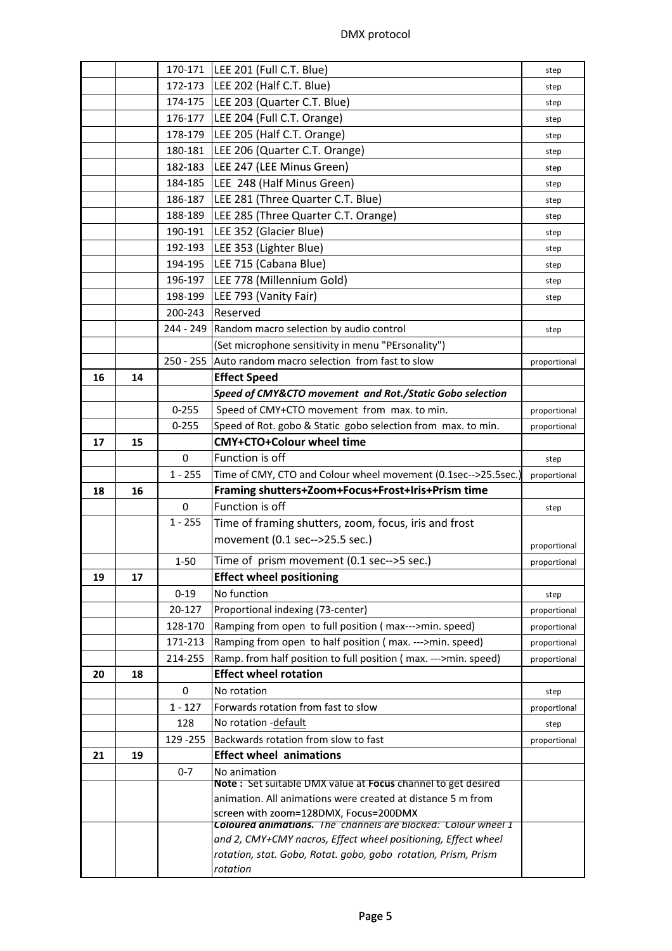|    |    |             | 170-171   LEE 201 (Full C.T. Blue)                                                                            | step         |
|----|----|-------------|---------------------------------------------------------------------------------------------------------------|--------------|
|    |    |             | 172-173   LEE 202 (Half C.T. Blue)                                                                            | step         |
|    |    |             | 174-175   LEE 203 (Quarter C.T. Blue)                                                                         | step         |
|    |    |             | 176-177   LEE 204 (Full C.T. Orange)                                                                          | step         |
|    |    |             | 178-179   LEE 205 (Half C.T. Orange)                                                                          | step         |
|    |    |             | 180-181   LEE 206 (Quarter C.T. Orange)                                                                       | step         |
|    |    |             | 182-183   LEE 247 (LEE Minus Green)                                                                           | step         |
|    |    |             | 184-185   LEE 248 (Half Minus Green)                                                                          | step         |
|    |    | 186-187     | LEE 281 (Three Quarter C.T. Blue)                                                                             | step         |
|    |    | 188-189     | LEE 285 (Three Quarter C.T. Orange)                                                                           | step         |
|    |    | 190-191     | LEE 352 (Glacier Blue)                                                                                        | step         |
|    |    |             | 192-193   LEE 353 (Lighter Blue)                                                                              | step         |
|    |    |             | 194-195   LEE 715 (Cabana Blue)                                                                               | step         |
|    |    |             | 196-197   LEE 778 (Millennium Gold)                                                                           | step         |
|    |    | 198-199     | LEE 793 (Vanity Fair)                                                                                         | step         |
|    |    | 200-243     | Reserved                                                                                                      |              |
|    |    |             | 244 - 249 Random macro selection by audio control                                                             | step         |
|    |    |             | (Set microphone sensitivity in menu "PErsonality")                                                            |              |
|    |    |             | 250 - 255 Auto random macro selection from fast to slow                                                       | proportional |
| 16 | 14 |             | <b>Effect Speed</b>                                                                                           |              |
|    |    |             | Speed of CMY&CTO movement and Rot./Static Gobo selection                                                      |              |
|    |    | $0 - 255$   | Speed of CMY+CTO movement from max. to min.                                                                   |              |
|    |    | $0 - 255$   | Speed of Rot. gobo & Static gobo selection from max. to min.                                                  | proportional |
| 17 | 15 |             | <b>CMY+CTO+Colour wheel time</b>                                                                              | proportional |
|    |    | $\mathbf 0$ | Function is off                                                                                               |              |
|    |    |             |                                                                                                               | step         |
|    |    |             |                                                                                                               |              |
|    |    | $1 - 255$   | Time of CMY, CTO and Colour wheel movement (0.1sec-->25.5sec.)                                                | proportional |
| 18 | 16 |             | Framing shutters+Zoom+Focus+Frost+Iris+Prism time                                                             |              |
|    |    | $\mathbf 0$ | Function is off                                                                                               | step         |
|    |    | $1 - 255$   | Time of framing shutters, zoom, focus, iris and frost                                                         |              |
|    |    |             | movement (0.1 sec-->25.5 sec.)                                                                                | proportional |
|    |    | $1 - 50$    | Time of prism movement (0.1 sec-->5 sec.)                                                                     | proportional |
| 19 | 17 |             | <b>Effect wheel positioning</b>                                                                               |              |
|    |    | $0 - 19$    | No function                                                                                                   | step         |
|    |    | 20-127      | Proportional indexing (73-center)                                                                             | proportional |
|    |    | 128-170     | Ramping from open to full position (max--->min. speed)                                                        | proportional |
|    |    | 171-213     | Ramping from open to half position (max. --->min. speed)                                                      | proportional |
|    |    | 214-255     | Ramp. from half position to full position (max. --->min. speed)                                               | proportional |
| 20 | 18 |             | <b>Effect wheel rotation</b>                                                                                  |              |
|    |    | $\mathbf 0$ | No rotation                                                                                                   | step         |
|    |    | $1 - 127$   | Forwards rotation from fast to slow                                                                           | proportional |
|    |    | 128         | No rotation - default                                                                                         | step         |
|    |    | 129 - 255   | Backwards rotation from slow to fast                                                                          | proportional |
| 21 | 19 |             | <b>Effect wheel animations</b>                                                                                |              |
|    |    | $0 - 7$     | No animation                                                                                                  |              |
|    |    |             | Note: Set suitable DMX value at Focus channel to get desired                                                  |              |
|    |    |             | animation. All animations were created at distance 5 m from                                                   |              |
|    |    |             | screen with zoom=128DMX, Focus=200DMX<br><b>Coloured animations.</b> The channels are blocked: Colour wheel 1 |              |
|    |    |             | and 2, CMY+CMY nacros, Effect wheel positioning, Effect wheel                                                 |              |
|    |    |             | rotation, stat. Gobo, Rotat. gobo, gobo rotation, Prism, Prism                                                |              |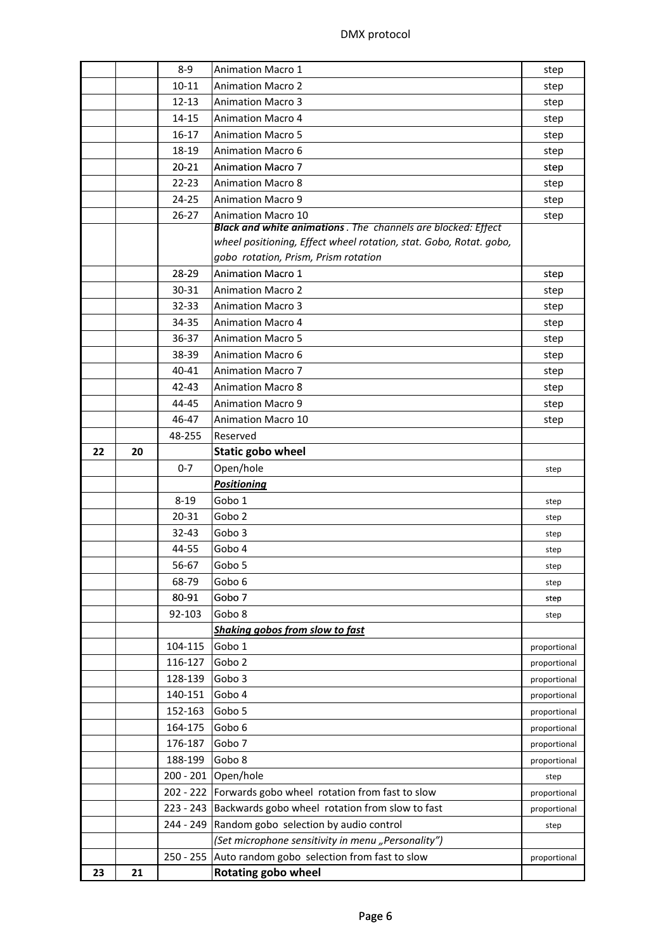|    |    | $8-9$       | <b>Animation Macro 1</b>                                             | step         |
|----|----|-------------|----------------------------------------------------------------------|--------------|
|    |    | $10 - 11$   | <b>Animation Macro 2</b>                                             | step         |
|    |    | $12 - 13$   | <b>Animation Macro 3</b>                                             | step         |
|    |    | 14-15       | <b>Animation Macro 4</b>                                             | step         |
|    |    | $16-17$     | <b>Animation Macro 5</b>                                             | step         |
|    |    | 18-19       | <b>Animation Macro 6</b>                                             | step         |
|    |    | $20 - 21$   | <b>Animation Macro 7</b>                                             | step         |
|    |    | $22 - 23$   | <b>Animation Macro 8</b>                                             | step         |
|    |    | $24 - 25$   | <b>Animation Macro 9</b>                                             | step         |
|    |    | $26 - 27$   | <b>Animation Macro 10</b>                                            | step         |
|    |    |             | <b>Black and white animations</b> . The channels are blocked: Effect |              |
|    |    |             | wheel positioning, Effect wheel rotation, stat. Gobo, Rotat. gobo,   |              |
|    |    |             | gobo rotation, Prism, Prism rotation                                 |              |
|    |    | 28-29       | <b>Animation Macro 1</b>                                             | step         |
|    |    | 30-31       | <b>Animation Macro 2</b>                                             | step         |
|    |    | $32 - 33$   | <b>Animation Macro 3</b>                                             | step         |
|    |    | 34-35       | <b>Animation Macro 4</b>                                             | step         |
|    |    | $36 - 37$   | <b>Animation Macro 5</b>                                             | step         |
|    |    | 38-39       | <b>Animation Macro 6</b>                                             | step         |
|    |    | 40-41       | <b>Animation Macro 7</b>                                             | step         |
|    |    | 42-43       | <b>Animation Macro 8</b>                                             | step         |
|    |    | 44-45       | <b>Animation Macro 9</b>                                             | step         |
|    |    | 46-47       | <b>Animation Macro 10</b>                                            | step         |
|    |    | 48-255      | Reserved                                                             |              |
| 22 | 20 |             | <b>Static gobo wheel</b>                                             |              |
|    |    | $0 - 7$     | Open/hole                                                            | step         |
|    |    |             | <b>Positioning</b>                                                   |              |
|    |    | $8 - 19$    | Gobo 1                                                               | step         |
|    |    | 20-31       | Gobo <sub>2</sub>                                                    | step         |
|    |    | $32 - 43$   | Gobo 3                                                               | step         |
|    |    | 44-55       | Gobo 4                                                               | step         |
|    |    | 56-67       | Gobo 5                                                               | step         |
|    |    | 68-79       | Gobo 6                                                               | step         |
|    |    | 80-91       | Gobo 7                                                               | step         |
|    |    | 92-103      | Gobo 8                                                               | step         |
|    |    |             | Shaking gobos from slow to fast                                      |              |
|    |    | 104-115     | Gobo 1                                                               | proportional |
|    |    | 116-127     | Gobo <sub>2</sub>                                                    | proportional |
|    |    | 128-139     | Gobo 3                                                               | proportional |
|    |    | 140-151     | Gobo 4                                                               | proportional |
|    |    | 152-163     | Gobo 5                                                               | proportional |
|    |    | 164-175     | Gobo 6                                                               | proportional |
|    |    | 176-187     | Gobo 7                                                               | proportional |
|    |    | 188-199     | Gobo 8                                                               | proportional |
|    |    | $200 - 201$ | Open/hole                                                            | step         |
|    |    |             | 202 - 222 Forwards gobo wheel rotation from fast to slow             | proportional |
|    |    | 223 - 243   | Backwards gobo wheel rotation from slow to fast                      | proportional |
|    |    | 244 - 249   | Random gobo selection by audio control                               | step         |
|    |    |             | (Set microphone sensitivity in menu "Personality")                   |              |
|    |    |             |                                                                      |              |
|    |    |             |                                                                      | proportional |
| 23 | 21 | $250 - 255$ | Auto random gobo selection from fast to slow<br>Rotating gobo wheel  |              |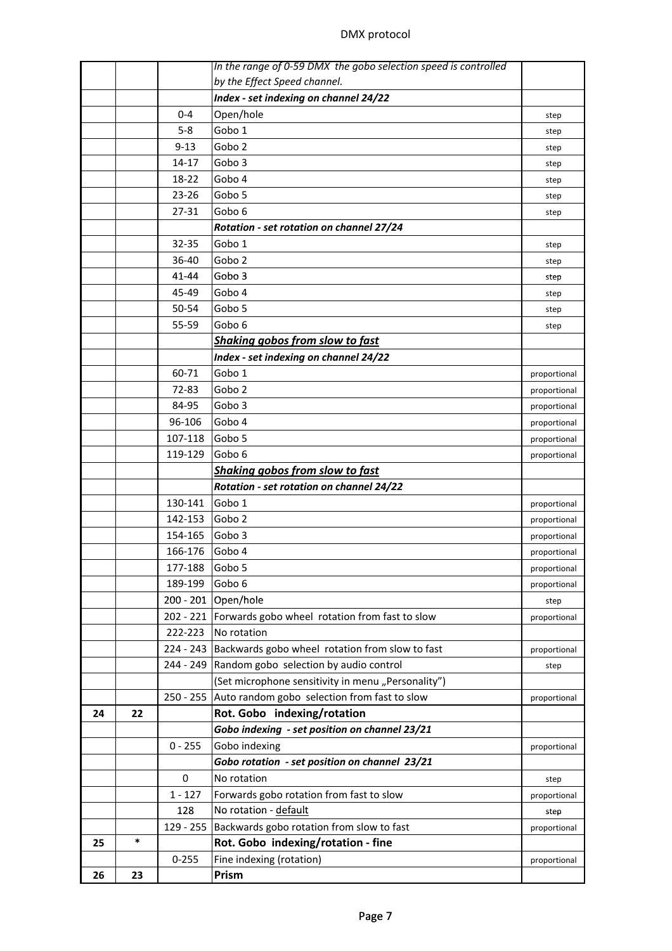## DMX protocol

|    |    |             | In the range of 0-59 DMX the gobo selection speed is controlled |              |
|----|----|-------------|-----------------------------------------------------------------|--------------|
|    |    |             | by the Effect Speed channel.                                    |              |
|    |    |             | Index - set indexing on channel 24/22                           |              |
|    |    | $0 - 4$     | Open/hole                                                       | step         |
|    |    | $5 - 8$     | Gobo 1                                                          | step         |
|    |    | $9 - 13$    | Gobo <sub>2</sub>                                               | step         |
|    |    | 14-17       | Gobo 3                                                          | step         |
|    |    | 18-22       | Gobo 4                                                          | step         |
|    |    | $23 - 26$   | Gobo 5                                                          | step         |
|    |    | 27-31       | Gobo 6                                                          | step         |
|    |    |             | Rotation - set rotation on channel 27/24                        |              |
|    |    | 32-35       | Gobo 1                                                          | step         |
|    |    | 36-40       | Gobo <sub>2</sub>                                               | step         |
|    |    | 41-44       | Gobo 3                                                          | step         |
|    |    | 45-49       | Gobo 4                                                          | step         |
|    |    | 50-54       | Gobo 5                                                          | step         |
|    |    | 55-59       | Gobo 6                                                          | step         |
|    |    |             | Shaking gobos from slow to fast                                 |              |
|    |    |             | Index - set indexing on channel 24/22                           |              |
|    |    | 60-71       | Gobo 1                                                          | proportional |
|    |    | 72-83       | Gobo <sub>2</sub>                                               | proportional |
|    |    | 84-95       | Gobo 3                                                          | proportional |
|    |    | 96-106      | Gobo 4                                                          | proportional |
|    |    | 107-118     | Gobo 5                                                          | proportional |
|    |    | 119-129     | Gobo 6                                                          | proportional |
|    |    |             | Shaking gobos from slow to fast                                 |              |
|    |    |             | Rotation - set rotation on channel 24/22                        |              |
|    |    | 130-141     | Gobo 1                                                          | proportional |
|    |    | 142-153     | Gobo <sub>2</sub>                                               | proportional |
|    |    | 154-165     | Gobo 3                                                          | proportional |
|    |    | 166-176     | Gobo 4                                                          | proportional |
|    |    | 177-188     | Gobo 5                                                          | proportional |
|    |    | 189-199     | Gobo 6                                                          | proportional |
|    |    |             | 200 - 201 Open/hole                                             | step         |
|    |    |             | 202 - 221 Forwards gobo wheel rotation from fast to slow        | proportional |
|    |    | 222-223     | No rotation                                                     |              |
|    |    | 224 - 243   | Backwards gobo wheel rotation from slow to fast                 | proportional |
|    |    | 244 - 249   | Random gobo selection by audio control                          | step         |
|    |    |             | (Set microphone sensitivity in menu "Personality")              |              |
|    |    | $250 - 255$ | Auto random gobo selection from fast to slow                    | proportional |
| 24 | 22 |             | Rot. Gobo indexing/rotation                                     |              |
|    |    |             | Gobo indexing - set position on channel 23/21                   |              |
|    |    | $0 - 255$   | Gobo indexing                                                   | proportional |
|    |    |             | Gobo rotation - set position on channel 23/21                   |              |
|    |    | $\mathbf 0$ | No rotation                                                     | step         |
|    |    | $1 - 127$   | Forwards gobo rotation from fast to slow                        | proportional |
|    |    | 128         | No rotation - default                                           | step         |
|    |    | 129 - 255   | Backwards gobo rotation from slow to fast                       | proportional |
| 25 | *  |             | Rot. Gobo indexing/rotation - fine                              |              |
|    |    | $0 - 255$   | Fine indexing (rotation)                                        | proportional |
| 26 | 23 |             | Prism                                                           |              |
|    |    |             |                                                                 |              |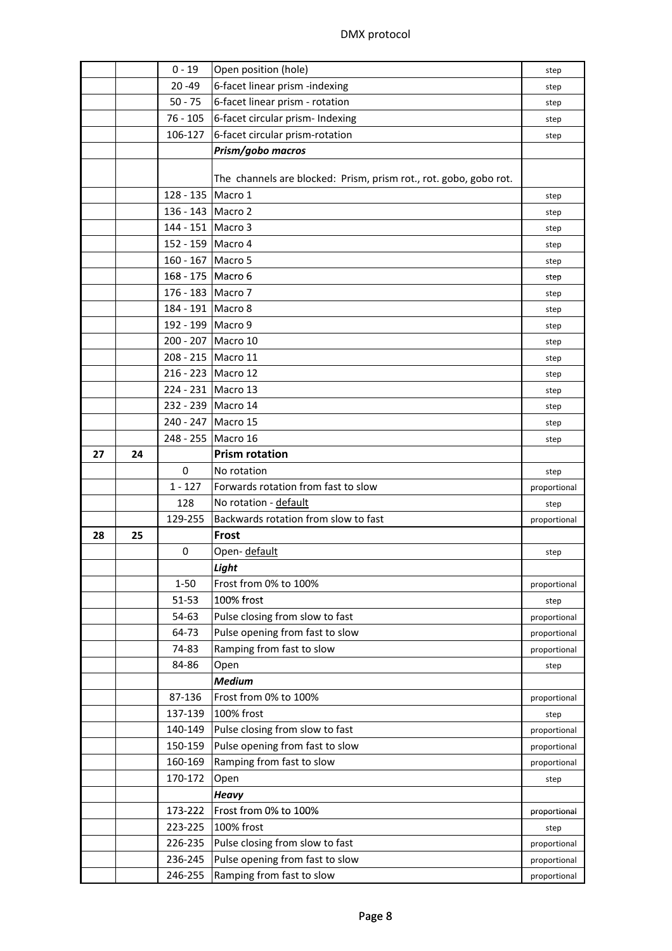| $20 - 49$<br>6-facet linear prism -indexing<br>step<br>6-facet linear prism - rotation<br>$50 - 75$<br>step<br>$76 - 105$<br>6-facet circular prism- Indexing<br>step<br>106-127<br>6-facet circular prism-rotation<br>step<br>Prism/gobo macros<br>The channels are blocked: Prism, prism rot., rot. gobo, gobo rot.<br>128 - 135 Macro 1<br>step<br>136 - 143   Macro 2<br>step<br>144 - 151 Macro 3<br>step<br>152 - 159 Macro 4<br>step<br>160 - 167 Macro 5<br>step<br>168 - 175   Macro 6<br>step<br>176 - 183 Macro 7<br>step<br>184 - 191   Macro 8<br>step<br>192 - 199 Macro 9<br>step<br>200 - 207 Macro 10<br>step<br>208 - 215 Macro 11<br>step<br>216 - 223 Macro 12<br>step<br>224 - 231 Macro 13<br>step<br>232 - 239 Macro 14<br>step<br>240 - 247 Macro 15<br>step<br>248 - 255 Macro 16<br>step<br><b>Prism rotation</b><br>27<br>24<br>0<br>No rotation<br>step<br>Forwards rotation from fast to slow<br>$1 - 127$<br>proportional<br>No rotation - default<br>128<br>step<br>129-255<br>Backwards rotation from slow to fast<br>proportional<br>Frost<br>28<br>25<br>Open- default<br>0<br>step<br>Light<br>Frost from 0% to 100%<br>$1 - 50$<br>proportional<br>100% frost<br>51-53<br>step<br>Pulse closing from slow to fast<br>54-63<br>proportional<br>Pulse opening from fast to slow<br>64-73<br>proportional<br>Ramping from fast to slow<br>74-83<br>proportional<br>84-86<br>Open<br>step<br><b>Medium</b><br>Frost from 0% to 100%<br>87-136<br>proportional<br>137-139<br>100% frost<br>step<br>Pulse closing from slow to fast<br>140-149<br>proportional<br>Pulse opening from fast to slow<br>150-159<br>proportional<br>Ramping from fast to slow<br>160-169<br>proportional<br>170-172<br>Open<br>step<br><b>Heavy</b><br>Frost from 0% to 100%<br>173-222<br>proportional<br>100% frost<br>223-225<br>step<br>226-235<br>Pulse closing from slow to fast<br>proportional |  | $0 - 19$ | Open position (hole)      |              |  |  |
|------------------------------------------------------------------------------------------------------------------------------------------------------------------------------------------------------------------------------------------------------------------------------------------------------------------------------------------------------------------------------------------------------------------------------------------------------------------------------------------------------------------------------------------------------------------------------------------------------------------------------------------------------------------------------------------------------------------------------------------------------------------------------------------------------------------------------------------------------------------------------------------------------------------------------------------------------------------------------------------------------------------------------------------------------------------------------------------------------------------------------------------------------------------------------------------------------------------------------------------------------------------------------------------------------------------------------------------------------------------------------------------------------------------------------------------------------------------------------------------------------------------------------------------------------------------------------------------------------------------------------------------------------------------------------------------------------------------------------------------------------------------------------------------------------------------------------------------------------------------------------------------------------------------|--|----------|---------------------------|--------------|--|--|
|                                                                                                                                                                                                                                                                                                                                                                                                                                                                                                                                                                                                                                                                                                                                                                                                                                                                                                                                                                                                                                                                                                                                                                                                                                                                                                                                                                                                                                                                                                                                                                                                                                                                                                                                                                                                                                                                                                                  |  |          |                           |              |  |  |
|                                                                                                                                                                                                                                                                                                                                                                                                                                                                                                                                                                                                                                                                                                                                                                                                                                                                                                                                                                                                                                                                                                                                                                                                                                                                                                                                                                                                                                                                                                                                                                                                                                                                                                                                                                                                                                                                                                                  |  |          |                           |              |  |  |
|                                                                                                                                                                                                                                                                                                                                                                                                                                                                                                                                                                                                                                                                                                                                                                                                                                                                                                                                                                                                                                                                                                                                                                                                                                                                                                                                                                                                                                                                                                                                                                                                                                                                                                                                                                                                                                                                                                                  |  |          |                           |              |  |  |
|                                                                                                                                                                                                                                                                                                                                                                                                                                                                                                                                                                                                                                                                                                                                                                                                                                                                                                                                                                                                                                                                                                                                                                                                                                                                                                                                                                                                                                                                                                                                                                                                                                                                                                                                                                                                                                                                                                                  |  |          |                           |              |  |  |
|                                                                                                                                                                                                                                                                                                                                                                                                                                                                                                                                                                                                                                                                                                                                                                                                                                                                                                                                                                                                                                                                                                                                                                                                                                                                                                                                                                                                                                                                                                                                                                                                                                                                                                                                                                                                                                                                                                                  |  |          |                           |              |  |  |
|                                                                                                                                                                                                                                                                                                                                                                                                                                                                                                                                                                                                                                                                                                                                                                                                                                                                                                                                                                                                                                                                                                                                                                                                                                                                                                                                                                                                                                                                                                                                                                                                                                                                                                                                                                                                                                                                                                                  |  |          |                           |              |  |  |
|                                                                                                                                                                                                                                                                                                                                                                                                                                                                                                                                                                                                                                                                                                                                                                                                                                                                                                                                                                                                                                                                                                                                                                                                                                                                                                                                                                                                                                                                                                                                                                                                                                                                                                                                                                                                                                                                                                                  |  |          |                           |              |  |  |
|                                                                                                                                                                                                                                                                                                                                                                                                                                                                                                                                                                                                                                                                                                                                                                                                                                                                                                                                                                                                                                                                                                                                                                                                                                                                                                                                                                                                                                                                                                                                                                                                                                                                                                                                                                                                                                                                                                                  |  |          |                           |              |  |  |
|                                                                                                                                                                                                                                                                                                                                                                                                                                                                                                                                                                                                                                                                                                                                                                                                                                                                                                                                                                                                                                                                                                                                                                                                                                                                                                                                                                                                                                                                                                                                                                                                                                                                                                                                                                                                                                                                                                                  |  |          |                           |              |  |  |
|                                                                                                                                                                                                                                                                                                                                                                                                                                                                                                                                                                                                                                                                                                                                                                                                                                                                                                                                                                                                                                                                                                                                                                                                                                                                                                                                                                                                                                                                                                                                                                                                                                                                                                                                                                                                                                                                                                                  |  |          |                           |              |  |  |
|                                                                                                                                                                                                                                                                                                                                                                                                                                                                                                                                                                                                                                                                                                                                                                                                                                                                                                                                                                                                                                                                                                                                                                                                                                                                                                                                                                                                                                                                                                                                                                                                                                                                                                                                                                                                                                                                                                                  |  |          |                           |              |  |  |
|                                                                                                                                                                                                                                                                                                                                                                                                                                                                                                                                                                                                                                                                                                                                                                                                                                                                                                                                                                                                                                                                                                                                                                                                                                                                                                                                                                                                                                                                                                                                                                                                                                                                                                                                                                                                                                                                                                                  |  |          |                           |              |  |  |
|                                                                                                                                                                                                                                                                                                                                                                                                                                                                                                                                                                                                                                                                                                                                                                                                                                                                                                                                                                                                                                                                                                                                                                                                                                                                                                                                                                                                                                                                                                                                                                                                                                                                                                                                                                                                                                                                                                                  |  |          |                           |              |  |  |
|                                                                                                                                                                                                                                                                                                                                                                                                                                                                                                                                                                                                                                                                                                                                                                                                                                                                                                                                                                                                                                                                                                                                                                                                                                                                                                                                                                                                                                                                                                                                                                                                                                                                                                                                                                                                                                                                                                                  |  |          |                           |              |  |  |
|                                                                                                                                                                                                                                                                                                                                                                                                                                                                                                                                                                                                                                                                                                                                                                                                                                                                                                                                                                                                                                                                                                                                                                                                                                                                                                                                                                                                                                                                                                                                                                                                                                                                                                                                                                                                                                                                                                                  |  |          |                           |              |  |  |
|                                                                                                                                                                                                                                                                                                                                                                                                                                                                                                                                                                                                                                                                                                                                                                                                                                                                                                                                                                                                                                                                                                                                                                                                                                                                                                                                                                                                                                                                                                                                                                                                                                                                                                                                                                                                                                                                                                                  |  |          |                           |              |  |  |
|                                                                                                                                                                                                                                                                                                                                                                                                                                                                                                                                                                                                                                                                                                                                                                                                                                                                                                                                                                                                                                                                                                                                                                                                                                                                                                                                                                                                                                                                                                                                                                                                                                                                                                                                                                                                                                                                                                                  |  |          |                           |              |  |  |
|                                                                                                                                                                                                                                                                                                                                                                                                                                                                                                                                                                                                                                                                                                                                                                                                                                                                                                                                                                                                                                                                                                                                                                                                                                                                                                                                                                                                                                                                                                                                                                                                                                                                                                                                                                                                                                                                                                                  |  |          |                           |              |  |  |
|                                                                                                                                                                                                                                                                                                                                                                                                                                                                                                                                                                                                                                                                                                                                                                                                                                                                                                                                                                                                                                                                                                                                                                                                                                                                                                                                                                                                                                                                                                                                                                                                                                                                                                                                                                                                                                                                                                                  |  |          |                           |              |  |  |
|                                                                                                                                                                                                                                                                                                                                                                                                                                                                                                                                                                                                                                                                                                                                                                                                                                                                                                                                                                                                                                                                                                                                                                                                                                                                                                                                                                                                                                                                                                                                                                                                                                                                                                                                                                                                                                                                                                                  |  |          |                           |              |  |  |
|                                                                                                                                                                                                                                                                                                                                                                                                                                                                                                                                                                                                                                                                                                                                                                                                                                                                                                                                                                                                                                                                                                                                                                                                                                                                                                                                                                                                                                                                                                                                                                                                                                                                                                                                                                                                                                                                                                                  |  |          |                           |              |  |  |
|                                                                                                                                                                                                                                                                                                                                                                                                                                                                                                                                                                                                                                                                                                                                                                                                                                                                                                                                                                                                                                                                                                                                                                                                                                                                                                                                                                                                                                                                                                                                                                                                                                                                                                                                                                                                                                                                                                                  |  |          |                           |              |  |  |
|                                                                                                                                                                                                                                                                                                                                                                                                                                                                                                                                                                                                                                                                                                                                                                                                                                                                                                                                                                                                                                                                                                                                                                                                                                                                                                                                                                                                                                                                                                                                                                                                                                                                                                                                                                                                                                                                                                                  |  |          |                           |              |  |  |
|                                                                                                                                                                                                                                                                                                                                                                                                                                                                                                                                                                                                                                                                                                                                                                                                                                                                                                                                                                                                                                                                                                                                                                                                                                                                                                                                                                                                                                                                                                                                                                                                                                                                                                                                                                                                                                                                                                                  |  |          |                           |              |  |  |
|                                                                                                                                                                                                                                                                                                                                                                                                                                                                                                                                                                                                                                                                                                                                                                                                                                                                                                                                                                                                                                                                                                                                                                                                                                                                                                                                                                                                                                                                                                                                                                                                                                                                                                                                                                                                                                                                                                                  |  |          |                           |              |  |  |
|                                                                                                                                                                                                                                                                                                                                                                                                                                                                                                                                                                                                                                                                                                                                                                                                                                                                                                                                                                                                                                                                                                                                                                                                                                                                                                                                                                                                                                                                                                                                                                                                                                                                                                                                                                                                                                                                                                                  |  |          |                           |              |  |  |
|                                                                                                                                                                                                                                                                                                                                                                                                                                                                                                                                                                                                                                                                                                                                                                                                                                                                                                                                                                                                                                                                                                                                                                                                                                                                                                                                                                                                                                                                                                                                                                                                                                                                                                                                                                                                                                                                                                                  |  |          |                           |              |  |  |
|                                                                                                                                                                                                                                                                                                                                                                                                                                                                                                                                                                                                                                                                                                                                                                                                                                                                                                                                                                                                                                                                                                                                                                                                                                                                                                                                                                                                                                                                                                                                                                                                                                                                                                                                                                                                                                                                                                                  |  |          |                           |              |  |  |
|                                                                                                                                                                                                                                                                                                                                                                                                                                                                                                                                                                                                                                                                                                                                                                                                                                                                                                                                                                                                                                                                                                                                                                                                                                                                                                                                                                                                                                                                                                                                                                                                                                                                                                                                                                                                                                                                                                                  |  |          |                           |              |  |  |
|                                                                                                                                                                                                                                                                                                                                                                                                                                                                                                                                                                                                                                                                                                                                                                                                                                                                                                                                                                                                                                                                                                                                                                                                                                                                                                                                                                                                                                                                                                                                                                                                                                                                                                                                                                                                                                                                                                                  |  |          |                           |              |  |  |
|                                                                                                                                                                                                                                                                                                                                                                                                                                                                                                                                                                                                                                                                                                                                                                                                                                                                                                                                                                                                                                                                                                                                                                                                                                                                                                                                                                                                                                                                                                                                                                                                                                                                                                                                                                                                                                                                                                                  |  |          |                           |              |  |  |
|                                                                                                                                                                                                                                                                                                                                                                                                                                                                                                                                                                                                                                                                                                                                                                                                                                                                                                                                                                                                                                                                                                                                                                                                                                                                                                                                                                                                                                                                                                                                                                                                                                                                                                                                                                                                                                                                                                                  |  |          |                           |              |  |  |
|                                                                                                                                                                                                                                                                                                                                                                                                                                                                                                                                                                                                                                                                                                                                                                                                                                                                                                                                                                                                                                                                                                                                                                                                                                                                                                                                                                                                                                                                                                                                                                                                                                                                                                                                                                                                                                                                                                                  |  |          |                           |              |  |  |
|                                                                                                                                                                                                                                                                                                                                                                                                                                                                                                                                                                                                                                                                                                                                                                                                                                                                                                                                                                                                                                                                                                                                                                                                                                                                                                                                                                                                                                                                                                                                                                                                                                                                                                                                                                                                                                                                                                                  |  |          |                           |              |  |  |
|                                                                                                                                                                                                                                                                                                                                                                                                                                                                                                                                                                                                                                                                                                                                                                                                                                                                                                                                                                                                                                                                                                                                                                                                                                                                                                                                                                                                                                                                                                                                                                                                                                                                                                                                                                                                                                                                                                                  |  |          |                           |              |  |  |
|                                                                                                                                                                                                                                                                                                                                                                                                                                                                                                                                                                                                                                                                                                                                                                                                                                                                                                                                                                                                                                                                                                                                                                                                                                                                                                                                                                                                                                                                                                                                                                                                                                                                                                                                                                                                                                                                                                                  |  |          |                           |              |  |  |
|                                                                                                                                                                                                                                                                                                                                                                                                                                                                                                                                                                                                                                                                                                                                                                                                                                                                                                                                                                                                                                                                                                                                                                                                                                                                                                                                                                                                                                                                                                                                                                                                                                                                                                                                                                                                                                                                                                                  |  |          |                           |              |  |  |
|                                                                                                                                                                                                                                                                                                                                                                                                                                                                                                                                                                                                                                                                                                                                                                                                                                                                                                                                                                                                                                                                                                                                                                                                                                                                                                                                                                                                                                                                                                                                                                                                                                                                                                                                                                                                                                                                                                                  |  |          |                           |              |  |  |
|                                                                                                                                                                                                                                                                                                                                                                                                                                                                                                                                                                                                                                                                                                                                                                                                                                                                                                                                                                                                                                                                                                                                                                                                                                                                                                                                                                                                                                                                                                                                                                                                                                                                                                                                                                                                                                                                                                                  |  |          |                           |              |  |  |
|                                                                                                                                                                                                                                                                                                                                                                                                                                                                                                                                                                                                                                                                                                                                                                                                                                                                                                                                                                                                                                                                                                                                                                                                                                                                                                                                                                                                                                                                                                                                                                                                                                                                                                                                                                                                                                                                                                                  |  |          |                           |              |  |  |
|                                                                                                                                                                                                                                                                                                                                                                                                                                                                                                                                                                                                                                                                                                                                                                                                                                                                                                                                                                                                                                                                                                                                                                                                                                                                                                                                                                                                                                                                                                                                                                                                                                                                                                                                                                                                                                                                                                                  |  |          |                           |              |  |  |
|                                                                                                                                                                                                                                                                                                                                                                                                                                                                                                                                                                                                                                                                                                                                                                                                                                                                                                                                                                                                                                                                                                                                                                                                                                                                                                                                                                                                                                                                                                                                                                                                                                                                                                                                                                                                                                                                                                                  |  |          |                           |              |  |  |
|                                                                                                                                                                                                                                                                                                                                                                                                                                                                                                                                                                                                                                                                                                                                                                                                                                                                                                                                                                                                                                                                                                                                                                                                                                                                                                                                                                                                                                                                                                                                                                                                                                                                                                                                                                                                                                                                                                                  |  |          |                           |              |  |  |
|                                                                                                                                                                                                                                                                                                                                                                                                                                                                                                                                                                                                                                                                                                                                                                                                                                                                                                                                                                                                                                                                                                                                                                                                                                                                                                                                                                                                                                                                                                                                                                                                                                                                                                                                                                                                                                                                                                                  |  |          |                           |              |  |  |
|                                                                                                                                                                                                                                                                                                                                                                                                                                                                                                                                                                                                                                                                                                                                                                                                                                                                                                                                                                                                                                                                                                                                                                                                                                                                                                                                                                                                                                                                                                                                                                                                                                                                                                                                                                                                                                                                                                                  |  |          |                           |              |  |  |
|                                                                                                                                                                                                                                                                                                                                                                                                                                                                                                                                                                                                                                                                                                                                                                                                                                                                                                                                                                                                                                                                                                                                                                                                                                                                                                                                                                                                                                                                                                                                                                                                                                                                                                                                                                                                                                                                                                                  |  |          |                           |              |  |  |
|                                                                                                                                                                                                                                                                                                                                                                                                                                                                                                                                                                                                                                                                                                                                                                                                                                                                                                                                                                                                                                                                                                                                                                                                                                                                                                                                                                                                                                                                                                                                                                                                                                                                                                                                                                                                                                                                                                                  |  |          |                           |              |  |  |
|                                                                                                                                                                                                                                                                                                                                                                                                                                                                                                                                                                                                                                                                                                                                                                                                                                                                                                                                                                                                                                                                                                                                                                                                                                                                                                                                                                                                                                                                                                                                                                                                                                                                                                                                                                                                                                                                                                                  |  |          |                           |              |  |  |
| 236-245<br>Pulse opening from fast to slow<br>proportional                                                                                                                                                                                                                                                                                                                                                                                                                                                                                                                                                                                                                                                                                                                                                                                                                                                                                                                                                                                                                                                                                                                                                                                                                                                                                                                                                                                                                                                                                                                                                                                                                                                                                                                                                                                                                                                       |  |          |                           |              |  |  |
|                                                                                                                                                                                                                                                                                                                                                                                                                                                                                                                                                                                                                                                                                                                                                                                                                                                                                                                                                                                                                                                                                                                                                                                                                                                                                                                                                                                                                                                                                                                                                                                                                                                                                                                                                                                                                                                                                                                  |  |          |                           |              |  |  |
|                                                                                                                                                                                                                                                                                                                                                                                                                                                                                                                                                                                                                                                                                                                                                                                                                                                                                                                                                                                                                                                                                                                                                                                                                                                                                                                                                                                                                                                                                                                                                                                                                                                                                                                                                                                                                                                                                                                  |  | 246-255  | Ramping from fast to slow | proportional |  |  |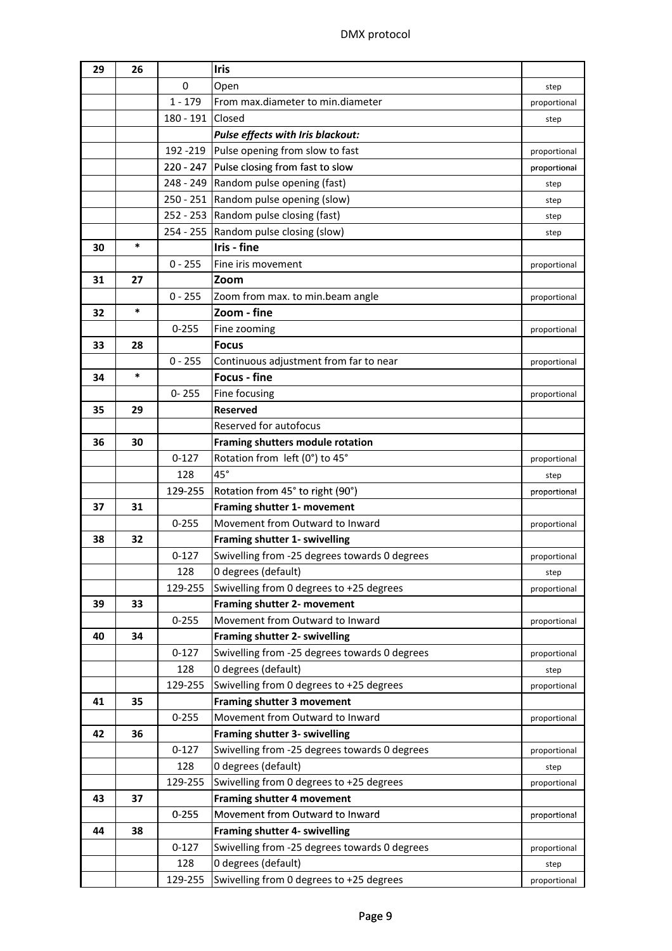| 29 | 26     |             | <b>Iris</b>                                                   |              |
|----|--------|-------------|---------------------------------------------------------------|--------------|
|    |        | $\mathbf 0$ | Open                                                          | step         |
|    |        | $1 - 179$   | From max.diameter to min.diameter                             | proportional |
|    |        | $180 - 191$ | Closed                                                        | step         |
|    |        |             | Pulse effects with Iris blackout:                             |              |
|    |        | 192 - 219   | Pulse opening from slow to fast                               | proportional |
|    |        |             | 220 - 247 Pulse closing from fast to slow                     | proportional |
|    |        |             | 248 - 249 Random pulse opening (fast)                         | step         |
|    |        |             | 250 - 251 Random pulse opening (slow)                         | step         |
|    |        |             | 252 - 253 Random pulse closing (fast)                         | step         |
|    |        |             | 254 - 255 Random pulse closing (slow)                         | step         |
| 30 | $\ast$ |             | Iris - fine                                                   |              |
|    |        | $0 - 255$   | Fine iris movement                                            | proportional |
| 31 | 27     |             | Zoom                                                          |              |
|    |        | $0 - 255$   | Zoom from max. to min.beam angle                              | proportional |
| 32 | $\ast$ |             | Zoom - fine                                                   |              |
|    |        | $0 - 255$   | Fine zooming                                                  |              |
| 33 | 28     |             | <b>Focus</b>                                                  | proportional |
|    |        | $0 - 255$   |                                                               |              |
|    | $\ast$ |             | Continuous adjustment from far to near<br><b>Focus - fine</b> | proportional |
| 34 |        |             |                                                               |              |
|    |        | $0 - 255$   | Fine focusing                                                 | proportional |
| 35 | 29     |             | <b>Reserved</b>                                               |              |
|    |        |             | Reserved for autofocus                                        |              |
| 36 | 30     |             | Framing shutters module rotation                              |              |
|    |        | $0 - 127$   | Rotation from left (0°) to 45°                                | proportional |
|    |        | 128         | $45^\circ$                                                    | step         |
|    |        | 129-255     | Rotation from 45° to right (90°)                              | proportional |
| 37 | 31     |             | Framing shutter 1- movement                                   |              |
|    |        | $0 - 255$   | Movement from Outward to Inward                               | proportional |
| 38 | 32     |             | Framing shutter 1- swivelling                                 |              |
|    |        | $0 - 127$   | Swivelling from -25 degrees towards 0 degrees                 | proportional |
|    |        | 128         | 0 degrees (default)                                           | step         |
|    |        | 129-255     | Swivelling from 0 degrees to +25 degrees                      | proportional |
| 39 | 33     |             | Framing shutter 2- movement                                   |              |
|    |        | $0 - 255$   | Movement from Outward to Inward                               | proportional |
| 40 | 34     |             | Framing shutter 2- swivelling                                 |              |
|    |        | $0 - 127$   | Swivelling from -25 degrees towards 0 degrees                 | proportional |
|    |        | 128         | 0 degrees (default)                                           | step         |
|    |        | 129-255     | Swivelling from 0 degrees to +25 degrees                      | proportional |
| 41 | 35     |             | Framing shutter 3 movement                                    |              |
|    |        | $0 - 255$   | Movement from Outward to Inward                               | proportional |
| 42 | 36     |             | Framing shutter 3- swivelling                                 |              |
|    |        | $0 - 127$   | Swivelling from -25 degrees towards 0 degrees                 | proportional |
|    |        | 128         | 0 degrees (default)                                           | step         |
|    |        | 129-255     | Swivelling from 0 degrees to +25 degrees                      | proportional |
| 43 | 37     |             | Framing shutter 4 movement                                    |              |
|    |        | $0 - 255$   | Movement from Outward to Inward                               | proportional |
| 44 | 38     |             | Framing shutter 4- swivelling                                 |              |
|    |        | $0 - 127$   | Swivelling from -25 degrees towards 0 degrees                 | proportional |
|    |        | 128         | 0 degrees (default)                                           | step         |
|    |        | 129-255     | Swivelling from 0 degrees to +25 degrees                      | proportional |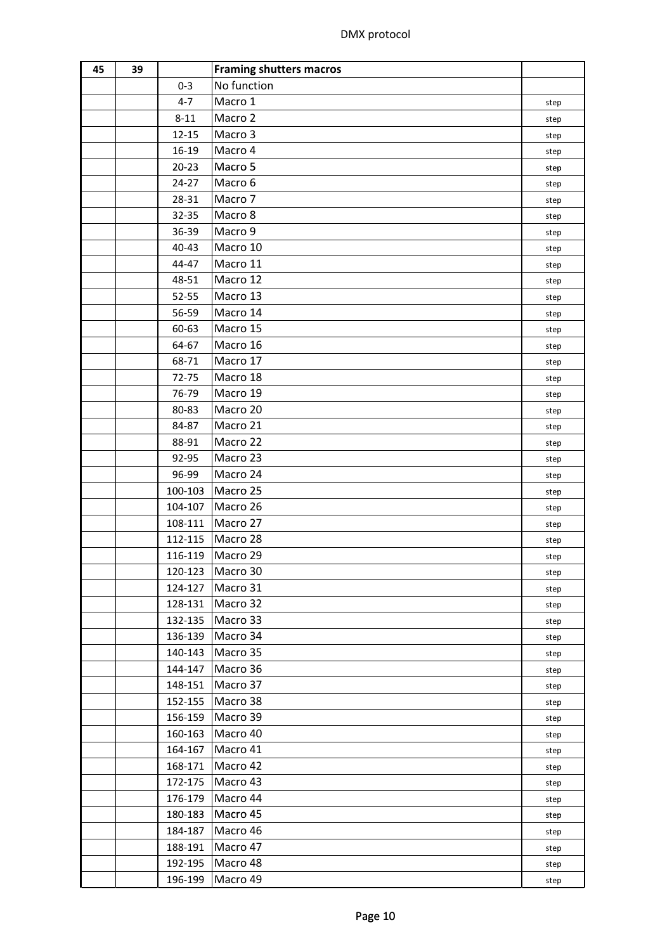| 45 | 39 |                    | <b>Framing shutters macros</b> |              |
|----|----|--------------------|--------------------------------|--------------|
|    |    | $0 - 3$            | No function                    |              |
|    |    | $4 - 7$            | Macro 1                        | step         |
|    |    | $8 - 11$           | Macro 2                        | step         |
|    |    | $12 - 15$          | Macro 3                        | step         |
|    |    | 16-19              | Macro 4                        | step         |
|    |    | $20 - 23$          | Macro 5                        | step         |
|    |    | $24 - 27$          | Macro 6                        | step         |
|    |    | 28-31              | Macro 7                        | step         |
|    |    | 32-35              | Macro 8                        | step         |
|    |    | 36-39              | Macro 9                        | step         |
|    |    | 40-43              | Macro 10                       | step         |
|    |    | 44-47              | Macro 11                       | step         |
|    |    | 48-51              | Macro 12                       | step         |
|    |    | 52-55              | Macro 13                       | step         |
|    |    | 56-59              | Macro 14                       | step         |
|    |    | 60-63              | Macro 15                       | step         |
|    |    | 64-67              | Macro 16                       | step         |
|    |    | 68-71              | Macro 17                       | step         |
|    |    | 72-75              | Macro 18                       | step         |
|    |    | 76-79              | Macro 19                       | step         |
|    |    | 80-83              | Macro 20                       | step         |
|    |    | 84-87              | Macro 21                       | step         |
|    |    | 88-91              | Macro 22                       | step         |
|    |    | 92-95              | Macro 23                       | step         |
|    |    | 96-99              | Macro 24                       | step         |
|    |    | 100-103            | Macro 25                       | step         |
|    |    | 104-107            | Macro 26                       | step         |
|    |    | 108-111            | Macro 27                       | step         |
|    |    | 112-115            | Macro 28                       | step         |
|    |    | 116-119            | Macro 29                       | step         |
|    |    | 120-123            | Macro 30                       |              |
|    |    | 124-127            | Macro 31                       | step<br>step |
|    |    | 128-131            | Macro 32                       |              |
|    |    | 132-135            | Macro 33                       | step         |
|    |    | 136-139            | Macro 34                       | step<br>step |
|    |    | 140-143            | Macro 35                       |              |
|    |    | 144-147            | Macro 36                       | step         |
|    |    | 148-151            | Macro 37                       | step         |
|    |    | 152-155            | Macro 38                       | step         |
|    |    | 156-159            | Macro 39                       | step         |
|    |    | 160-163            | Macro 40                       | step         |
|    |    |                    | Macro 41                       | step         |
|    |    | 164-167<br>168-171 | Macro 42                       | step         |
|    |    |                    | Macro 43                       | step         |
|    |    | 172-175            | Macro 44                       | step         |
|    |    | 176-179            |                                | step         |
|    |    | 180-183            | Macro 45<br>Macro 46           | step         |
|    |    | 184-187            | Macro 47                       | step         |
|    |    | 188-191            | Macro 48                       | step         |
|    |    | 192-195            |                                | step         |
|    |    | 196-199            | Macro 49                       | step         |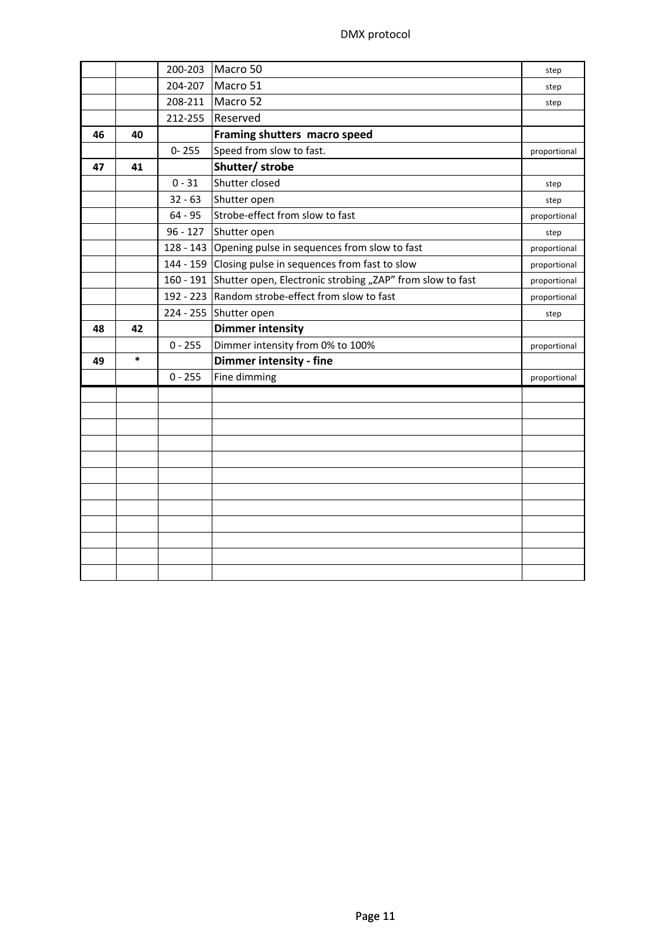|    |        | 200-203    | Macro 50                                                            | step         |
|----|--------|------------|---------------------------------------------------------------------|--------------|
|    |        | 204-207    | Macro 51                                                            | step         |
|    |        | 208-211    | Macro 52                                                            | step         |
|    |        | 212-255    | Reserved                                                            |              |
| 46 | 40     |            | Framing shutters macro speed                                        |              |
|    |        | $0 - 255$  | Speed from slow to fast.                                            | proportional |
| 47 | 41     |            | Shutter/ strobe                                                     |              |
|    |        | $0 - 31$   | Shutter closed                                                      | step         |
|    |        | $32 - 63$  | Shutter open                                                        | step         |
|    |        | $64 - 95$  | Strobe-effect from slow to fast                                     | proportional |
|    |        | $96 - 127$ | Shutter open                                                        | step         |
|    |        |            | 128 - 143 Opening pulse in sequences from slow to fast              | proportional |
|    |        |            | 144 - 159 Closing pulse in sequences from fast to slow              | proportional |
|    |        |            | 160 - 191 Shutter open, Electronic strobing "ZAP" from slow to fast | proportional |
|    |        |            | 192 - 223 Random strobe-effect from slow to fast                    | proportional |
|    |        |            | 224 - 255 Shutter open                                              | step         |
|    |        |            |                                                                     |              |
| 48 | 42     |            | <b>Dimmer intensity</b>                                             |              |
|    |        | $0 - 255$  | Dimmer intensity from 0% to 100%                                    | proportional |
| 49 | $\ast$ |            | Dimmer intensity - fine                                             |              |
|    |        | $0 - 255$  | Fine dimming                                                        | proportional |
|    |        |            |                                                                     |              |
|    |        |            |                                                                     |              |
|    |        |            |                                                                     |              |
|    |        |            |                                                                     |              |
|    |        |            |                                                                     |              |
|    |        |            |                                                                     |              |
|    |        |            |                                                                     |              |
|    |        |            |                                                                     |              |
|    |        |            |                                                                     |              |
|    |        |            |                                                                     |              |
|    |        |            |                                                                     |              |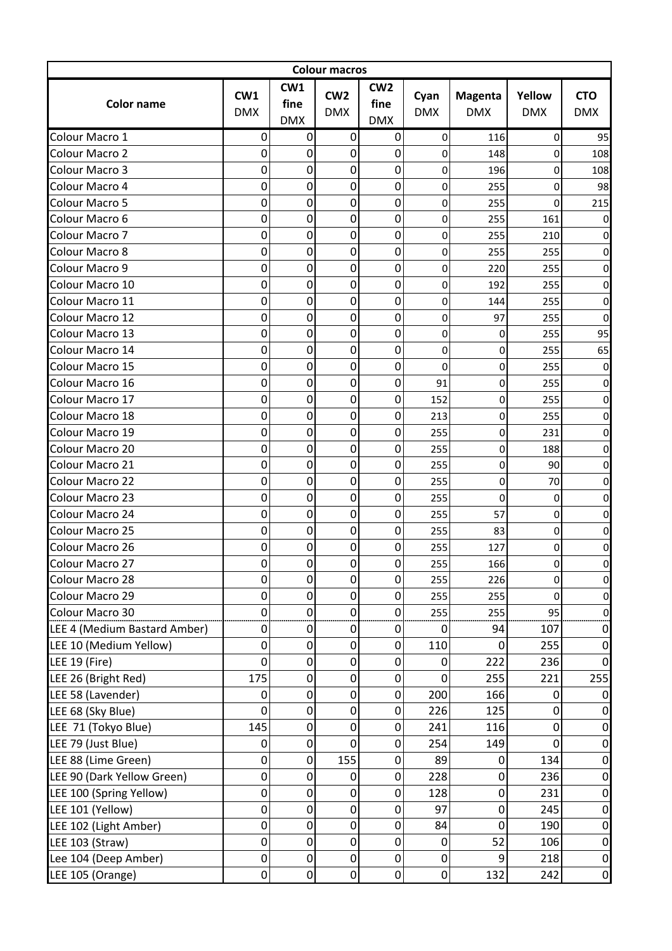| <b>Colour macros</b>         |                   |                           |                               |                                       |                    |                              |                      |                          |  |
|------------------------------|-------------------|---------------------------|-------------------------------|---------------------------------------|--------------------|------------------------------|----------------------|--------------------------|--|
| <b>Color name</b>            | CW1<br><b>DMX</b> | CW1<br>fine<br><b>DMX</b> | CW <sub>2</sub><br><b>DMX</b> | CW <sub>2</sub><br>fine<br><b>DMX</b> | Cyan<br><b>DMX</b> | <b>Magenta</b><br><b>DMX</b> | Yellow<br><b>DMX</b> | <b>CTO</b><br><b>DMX</b> |  |
| Colour Macro 1               | 0                 | 0                         | $\boldsymbol{0}$              | 0                                     | $\mathbf 0$        | 116                          | 0                    | 95                       |  |
| Colour Macro 2               | 0                 | 0                         | 0                             | 0                                     | $\Omega$           | 148                          | 0                    | 108                      |  |
| Colour Macro 3               | 0                 | 0                         | $\boldsymbol{0}$              | $\mathbf 0$                           | 0                  | 196                          | 0                    | 108                      |  |
| Colour Macro 4               | 0                 | 0                         | 0                             | $\mathbf 0$                           | 0                  | 255                          | 0                    | 98                       |  |
| Colour Macro 5               | 0                 | 0                         | $\boldsymbol{0}$              | $\mathbf 0$                           | 0                  | 255                          | 0                    | 215                      |  |
| Colour Macro 6               | 0                 | 0                         | 0                             | $\mathbf 0$                           | 0                  | 255                          | 161                  | 0                        |  |
| Colour Macro 7               | 0                 | 0                         | $\boldsymbol{0}$              | $\boldsymbol{0}$                      | 0                  | 255                          | 210                  | 0                        |  |
| Colour Macro 8               | 0                 | 0                         | 0                             | $\mathbf 0$                           | $\mathbf 0$        | 255                          | 255                  | 0                        |  |
| Colour Macro 9               | 0                 | 0                         | 0                             | $\mathbf 0$                           | 0                  | 220                          | 255                  | 0                        |  |
| Colour Macro 10              | 0                 | 0                         | 0                             | $\mathbf 0$                           | 0                  | 192                          | 255                  | 0                        |  |
| Colour Macro 11              | 0                 | 0                         | $\boldsymbol{0}$              | $\mathbf 0$                           | 0                  |                              | 255                  | 0                        |  |
| Colour Macro 12              | 0                 | 0                         | $\boldsymbol{0}$              | $\mathbf 0$                           | 0                  | 144<br>97                    | 255                  | 0                        |  |
|                              |                   | 0                         |                               |                                       |                    |                              |                      |                          |  |
| Colour Macro 13              | 0                 |                           | 0                             | $\mathbf 0$                           | 0                  | 0                            | 255                  | 95                       |  |
| Colour Macro 14              | 0                 | 0                         | $\boldsymbol{0}$              | $\mathbf 0$                           | 0                  | 0                            | 255                  | 65                       |  |
| Colour Macro 15              | 0                 | 0                         | 0                             | $\overline{0}$                        | 0                  | 0                            | 255                  | 0                        |  |
| Colour Macro 16              | 0                 | 0                         | 0                             | $\mathbf 0$                           | 91                 | 0                            | 255                  | 0                        |  |
| Colour Macro 17              | 0                 | 0                         | $\boldsymbol{0}$              | $\pmb{0}$                             | 152                | 0                            | 255                  | 0                        |  |
| Colour Macro 18              | 0                 | 0                         | $\boldsymbol{0}$              | $\mathbf 0$                           | 213                | 0                            | 255                  | 0                        |  |
| Colour Macro 19              | 0                 | 0                         | 0                             | $\boldsymbol{0}$                      | 255                | 0                            | 231                  | 0                        |  |
| Colour Macro 20              | 0                 | 0                         | 0                             | $\mathbf 0$                           | 255                | 0                            | 188                  | 0                        |  |
| Colour Macro 21              | 0                 | 0                         | 0                             | $\mathbf 0$                           | 255                | 0                            | 90                   | 0                        |  |
| Colour Macro 22              | 0                 | 0                         | $\boldsymbol{0}$              | $\mathbf 0$                           | 255                | 0                            | 70                   | 0                        |  |
| Colour Macro 23              | 0                 | 0                         | $\mathbf 0$                   | $\mathbf 0$                           | 255                | 0                            | $\mathbf 0$          | 0                        |  |
| Colour Macro 24              | 0                 | 0                         | $\boldsymbol{0}$              | $\mathbf 0$                           | 255                | 57                           | $\Omega$             | 0                        |  |
| Colour Macro 25              | 0                 | 0                         | 0                             | 0                                     | 255                | 83                           | 0                    | 0                        |  |
| Colour Macro 26              | 0                 | 0                         | 0                             | $\boldsymbol{0}$                      | 255                | 127                          | 0                    | 0                        |  |
| Colour Macro 27              | 0                 | $\overline{0}$            | $\overline{0}$                | $\Omega$                              | 255                | 166                          | O.                   | U                        |  |
| Colour Macro 28              | 0                 | 0                         | $\boldsymbol{0}$              | 0                                     | 255                | 226                          | 0                    | 0                        |  |
| Colour Macro 29              | 0                 | 0                         | 0                             | $\mathbf 0$                           | 255                | 255                          | 0                    | 0                        |  |
| Colour Macro 30              | 0                 | 0                         | $\mathbf 0$                   | $\mathbf 0$                           | 255                | 255                          | 95                   | 0                        |  |
| LEE 4 (Medium Bastard Amber) | 0                 | 0                         | 0                             | $\mathbf 0$                           | 0                  | 94                           | 107                  | 0                        |  |
| LEE 10 (Medium Yellow)       | 0                 | 0                         | 0                             | $\mathbf 0$                           | 110                | 0                            | 255                  | 0                        |  |
| LEE 19 (Fire)                | 0                 | 0                         | $\boldsymbol{0}$              | 0                                     | 0                  | 222                          | 236                  | $\Omega$                 |  |
| LEE 26 (Bright Red)          | 175               | 0                         | $\boldsymbol{0}$              | $\mathbf 0$                           | 0                  | 255                          | 221                  | 255                      |  |
| LEE 58 (Lavender)            | 0                 | 0                         | $\boldsymbol{0}$              | $\boldsymbol{0}$                      | 200                | 166                          | $\Omega$             | 0                        |  |
| LEE 68 (Sky Blue)            | 0                 | 0                         | $\boldsymbol{0}$              | $\mathbf 0$                           | 226                | 125                          | $\mathbf{0}$         | 0                        |  |
| LEE 71 (Tokyo Blue)          | 145               | 0                         | $\boldsymbol{0}$              | $\mathbf 0$                           | 241                | 116                          | $\mathbf 0$          | 0                        |  |
| LEE 79 (Just Blue)           | 0                 | 0                         | $\boldsymbol{0}$              | 0                                     | 254                | 149                          | $\mathbf 0$          | $\mathbf 0$              |  |
| LEE 88 (Lime Green)          | 0                 | 0                         | 155                           | $\mathbf 0$                           | 89                 | 0                            | 134                  | 0                        |  |
| LEE 90 (Dark Yellow Green)   | 0                 | 0                         | 0                             | $\mathbf 0$                           | 228                | 0                            | 236                  | $\mathbf 0$              |  |
| LEE 100 (Spring Yellow)      | 0                 | 0                         | $\boldsymbol{0}$              | $\boldsymbol{0}$                      | 128                | 0                            | 231                  | 0                        |  |
| LEE 101 (Yellow)             | 0                 | 0                         | $\boldsymbol{0}$              | $\boldsymbol{0}$                      | 97                 | 0                            | 245                  | $\mathbf 0$              |  |
| LEE 102 (Light Amber)        | 0                 | 0                         | $\pmb{0}$                     | $\pmb{0}$                             | 84                 | 0                            | 190                  | $\mathbf 0$              |  |
| LEE 103 (Straw)              | 0                 | 0                         | $\boldsymbol{0}$              | $\mathbf 0$                           | 0                  | 52                           | 106                  | $\mathbf 0$              |  |
| Lee 104 (Deep Amber)         | $\boldsymbol{0}$  | 0                         | $\pmb{0}$                     | $\boldsymbol{0}$                      | 0                  | 9                            | 218                  | $\mathbf 0$              |  |
| LEE 105 (Orange)             | 0                 | 0                         | $\boldsymbol{0}$              | $\mathbf 0$                           | $\mathbf 0$        | 132                          | 242                  | $\overline{0}$           |  |